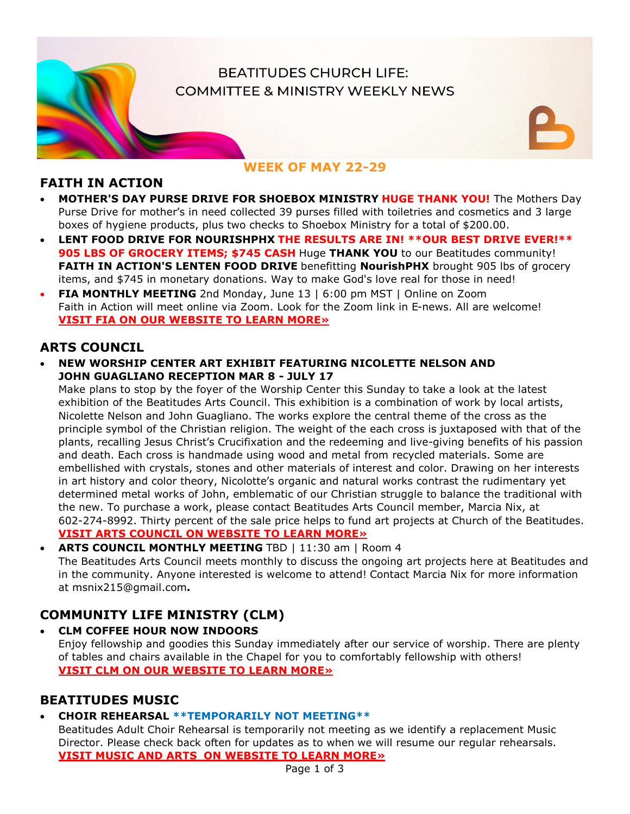# **BEATITUDES CHURCH LIFE: COMMITTEE & MINISTRY WEEKLY NEWS**

## **FAITH IN ACTION**

• **MOTHER'S DAY PURSE DRIVE FOR SHOEBOX MINISTRY HUGE THANK YOU!** The Mothers Day Purse Drive for mother's in need collected 39 purses filled with toiletries and cosmetics and 3 large boxes of hygiene products, plus two checks to Shoebox Ministry for a total of \$200.00.

**WEEK OF MAY 22-29**

- **LENT FOOD DRIVE FOR NOURISHPHX THE RESULTS ARE IN! \*\*OUR BEST DRIVE EVER!\*\* 905 LBS OF GROCERY ITEMS; \$745 CASH** Huge **THANK YOU** to our Beatitudes community! FAITH IN ACTION'S LENTEN FOOD DRIVE benefitting NourishPHX brought 905 lbs of grocery items, and \$745 in monetary donations. Way to make God's love real for those in need!
- **FIA MONTHLY MEETING** 2nd Monday, June 13 | 6:00 pm MST | Online on Zoom Faith in Action will meet online via Zoom. Look for the Zoom link in E-news. All are welcome! **[VISIT FIA ON OUR WEBSITE TO LEARN MORE»](https://beatitudeschurch.org/faith-in-action-news/)**

## **ARTS COUNCIL**

• **NEW WORSHIP CENTER ART EXHIBIT FEATURING NICOLETTE NELSON AND JOHN GUAGLIANO RECEPTION MAR 8 - JULY 17**

Make plans to stop by the foyer of the Worship Center this Sunday to take a look at the latest exhibition of the Beatitudes Arts Council. This exhibition is a combination of work by local artists, Nicolette Nelson and John Guagliano. The works explore the central theme of the cross as the principle symbol of the Christian religion. The weight of the each cross is juxtaposed with that of the plants, recalling Jesus Christ's Crucifixation and the redeeming and live-giving benefits of his passion and death. Each cross is handmade using wood and metal from recycled materials. Some are embellished with crystals, stones and other materials of interest and color. Drawing on her interests in art history and color theory, Nicolotte's organic and natural works contrast the rudimentary yet determined metal works of John, emblematic of our Christian struggle to balance the traditional with the new. To purchase a work, please contact Beatitudes Arts Council member, Marcia Nix, at 602-274-8992. Thirty percent of the sale price helps to fund art projects at Church of the Beatitudes. **[VISIT ARTS COUNCIL ON WEBSITE TO LEARN MORE»](https://beatitudeschurch.org/arts-council-melange/)**

• **ARTS COUNCIL MONTHLY MEETING** TBD | 11:30 am | Room 4 The Beatitudes Arts Council meets monthly to discuss the ongoing art projects here at Beatitudes and in the community. Anyone interested is welcome to attend! Contact Marcia Nix for more information at msnix215@gmail.com**.**

# **COMMUNITY LIFE MINISTRY (CLM)**

• **CLM COFFEE HOUR NOW INDOORS**  Enjoy fellowship and goodies this Sunday immediately after our service of worship. There are plenty of tables and chairs available in the Chapel for you to comfortably fellowship with others! **[VISIT CLM ON OUR WEBSITE TO LEARN MORE»](https://beatitudeschurch.org/community-life-ministry-clm-news/)**

## **BEATITUDES MUSIC**

## • **CHOIR REHEARSAL \*\*TEMPORARILY NOT MEETING\*\***

Beatitudes Adult Choir Rehearsal is temporarily not meeting as we identify a replacement Music Director. Please check back often for updates as to when we will resume our regular rehearsals. **[VISIT MUSIC AND ARTS ON WEBSITE TO LEARN MORE»](https://beatitudeschurch.org/music-arts/)**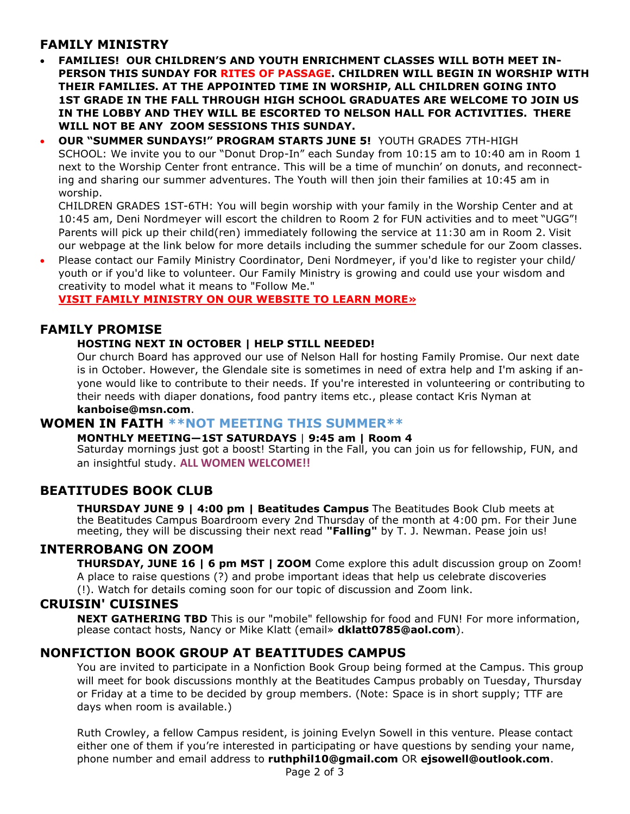## **FAMILY MINISTRY**

- **FAMILIES! OUR CHILDREN'S AND YOUTH ENRICHMENT CLASSES WILL BOTH MEET IN-PERSON THIS SUNDAY FOR RITES OF PASSAGE. CHILDREN WILL BEGIN IN WORSHIP WITH THEIR FAMILIES. AT THE APPOINTED TIME IN WORSHIP, ALL CHILDREN GOING INTO 1ST GRADE IN THE FALL THROUGH HIGH SCHOOL GRADUATES ARE WELCOME TO JOIN US IN THE LOBBY AND THEY WILL BE ESCORTED TO NELSON HALL FOR ACTIVITIES. THERE WILL NOT BE ANY ZOOM SESSIONS THIS SUNDAY.**
- **OUR "SUMMER SUNDAYS!" PROGRAM STARTS JUNE 5!** YOUTH GRADES 7TH-HIGH SCHOOL: We invite you to our "Donut Drop-In" each Sunday from 10:15 am to 10:40 am in Room 1 next to the Worship Center front entrance. This will be a time of munchin' on donuts, and reconnecting and sharing our summer adventures. The Youth will then join their families at 10:45 am in worship.

CHILDREN GRADES 1ST-6TH: You will begin worship with your family in the Worship Center and at 10:45 am, Deni Nordmeyer will escort the children to Room 2 for FUN activities and to meet "UGG"! Parents will pick up their child(ren) immediately following the service at 11:30 am in Room 2. Visit our webpage at the link below for more details including the summer schedule for our Zoom classes.

• Please contact our Family Ministry Coordinator, Deni Nordmeyer, if you'd like to register your child/ youth or if you'd like to volunteer. Our Family Ministry is growing and could use your wisdom and creativity to model what it means to "Follow Me."

#### **[VISIT FAMILY MINISTRY ON OUR WEBSITE TO LEARN MORE»](https://beatitudeschurch.org/families/)**

### **FAMILY PROMISE**

#### **HOSTING NEXT IN OCTOBER | HELP STILL NEEDED!**

Our church Board has approved our use of Nelson Hall for hosting Family Promise. Our next date is in October. However, the Glendale site is sometimes in need of extra help and I'm asking if anyone would like to contribute to their needs. If you're interested in volunteering or contributing to their needs with diaper donations, food pantry items etc., please contact Kris Nyman at **kanboise@msn.com**.

#### **WOMEN IN FAITH \*\*NOT MEETING THIS SUMMER\*\***

#### **MONTHLY MEETING—1ST SATURDAYS** | **9:45 am | Room 4**

Saturday mornings just got a boost! Starting in the Fall, you can join us for fellowship, FUN, and an insightful study. **ALL WOMEN WELCOME!!**

### **BEATITUDES BOOK CLUB**

**THURSDAY JUNE 9 | 4:00 pm | Beatitudes Campus** The Beatitudes Book Club meets at the Beatitudes Campus Boardroom every 2nd Thursday of the month at 4:00 pm. For their June meeting, they will be discussing their next read "Falling" by T. J. Newman. Pease join us!

#### **INTERROBANG ON ZOOM**

**THURSDAY, JUNE 16 | 6 pm MST | ZOOM** Come explore this adult discussion group on Zoom! A place to raise questions (?) and probe important ideas that help us celebrate discoveries (!). Watch for details coming soon for our topic of discussion and Zoom link.

### **CRUISIN' CUISINES**

**NEXT GATHERING TBD** This is our "mobile" fellowship for food and FUN! For more information, please contact hosts, Nancy or Mike Klatt (email» **dklatt0785@aol.com**).

### **NONFICTION BOOK GROUP AT BEATITUDES CAMPUS**

You are invited to participate in a Nonfiction Book Group being formed at the Campus. This group will meet for book discussions monthly at the Beatitudes Campus probably on Tuesday, Thursday or Friday at a time to be decided by group members. (Note: Space is in short supply; TTF are days when room is available.)

Ruth Crowley, a fellow Campus resident, is joining Evelyn Sowell in this venture. Please contact either one of them if you're interested in participating or have questions by sending your name, phone number and email address to **ruthphil10@gmail.com** OR **ejsowell@outlook.com**.